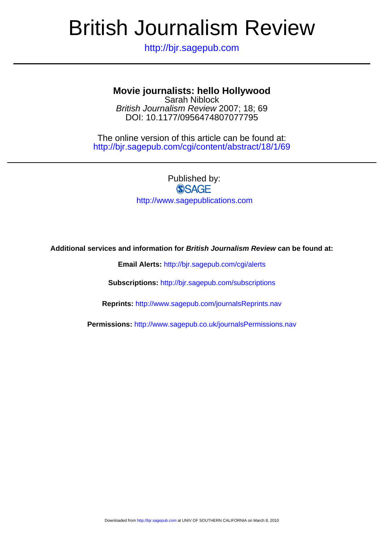## British Journalism Review

http://bjr.sagepub.com

#### **Movie journalists: hello Hollywood**

DOI: 10.1177/0956474807077795 British Journalism Review 2007; 18; 69 Sarah Niblock

http://bjr.sagepub.com/cgi/content/abstract/18/1/69 The online version of this article can be found at:

> Published by:<br>
> SAGE http://www.sagepublications.com

**Additional services and information for British Journalism Review can be found at:**

**Email Alerts:** <http://bjr.sagepub.com/cgi/alerts>

**Subscriptions:** <http://bjr.sagepub.com/subscriptions>

**Reprints:** <http://www.sagepub.com/journalsReprints.nav>

**Permissions:** <http://www.sagepub.co.uk/journalsPermissions.nav>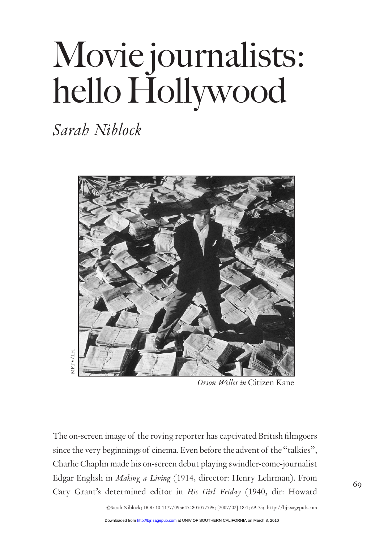# Movie journalists: hello Hollywood

*Sarah Niblock*



*Orson Welles in* Citizen Kane

The on-screen image of the roving reporter has captivated British filmgoers since the very beginnings of cinema. Even before the advent of the "talkies", Charlie Chaplin made his on-screen debut playing swindler-come-journalist Edgar English in *Making a Living* (1914, director: Henry Lehrman). From Cary Grant's determined editor in *His Girl Friday* (1940, dir: Howard

©Sarah Niblock; DOI: 10.1177/0956474807077795; [2007/03] 18:1; 69-73; http://bjr.sagepub.com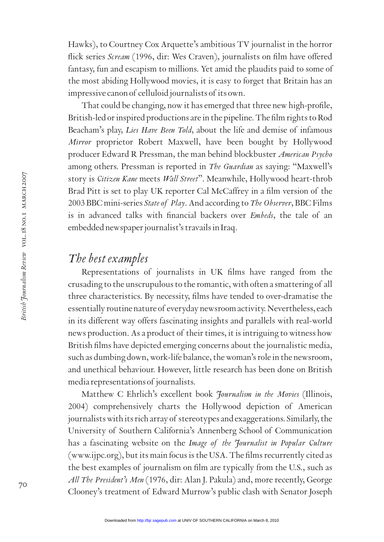Hawks), to Courtney Cox Arquette's ambitious TV journalist in the horror flick series *Scream* (1996, dir: Wes Craven), journalists on film have offered fantasy, fun and escapism to millions. Yet amid the plaudits paid to some of the most abiding Hollywood movies, it is easy to forget that Britain has an impressive canon of celluloid journalists of its own.

That could be changing, now it has emerged that three new high-profile, British-led or inspired productions are in the pipeline. The film rights to Rod Beacham's play, *Lies Have Been Told*, about the life and demise of infamous *Mirror* proprietor Robert Maxwell, have been bought by Hollywood producer Edward R Pressman, the man behind blockbuster *American Psycho* among others. Pressman is reported in *The Guardian* as saying: "Maxwell's story is *Citizen Kane* meets *Wall Street*". Meanwhile, Hollywood heart-throb Brad Pitt is set to play UK reporter Cal McCaffrey in a film version of the 2003 BBC mini-series *State of Play*. And according to *The Observer*, BBC Films is in advanced talks with financial backers over *Embeds*, the tale of an embedded newspaper journalist's travails in Iraq.

#### *The best examples*

Representations of journalists in UK films have ranged from the crusading to the unscrupulous to the romantic, with often a smattering of all three characteristics. By necessity, films have tended to over-dramatise the essentially routine nature of everyday newsroom activity. Nevertheless, each in its different way offers fascinating insights and parallels with real-world news production. As a product of their times, it is intriguing to witness how British films have depicted emerging concerns about the journalistic media, such as dumbing down, work-life balance, the woman's role in the newsroom, and unethical behaviour. However, little research has been done on British media representations of journalists.

Matthew C Ehrlich's excellent book *Journalism in the Movies* (Illinois, 2004) comprehensively charts the Hollywood depiction of American journalists with its rich array of stereotypes and exaggerations. Similarly, the University of Southern California's Annenberg School of Communication has a fascinating website on the *Image of the Journalist in Popular Culture* (www.ijpc.org), but its main focus is the USA. The films recurrently cited as the best examples of journalism on film are typically from the U.S., such as *All The President's Men*(1976, dir: Alan J. Pakula) and, more recently, George Clooney's treatment of Edward Murrow's public clash with Senator Joseph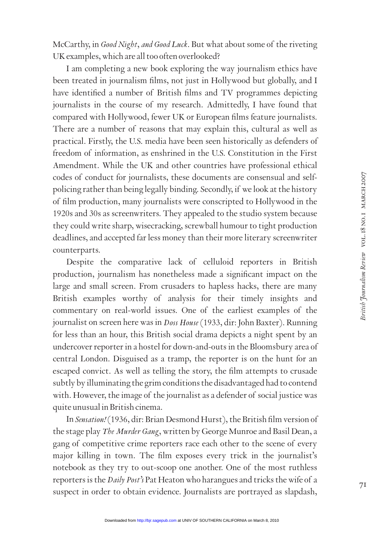I am completing a new book exploring the way journalism ethics have been treated in journalism films, not just in Hollywood but globally, and I have identified a number of British films and TV programmes depicting journalists in the course of my research. Admittedly, I have found that compared with Hollywood, fewer UK or European films feature journalists. There are a number of reasons that may explain this, cultural as well as practical. Firstly, the U.S. media have been seen historically as defenders of freedom of information, as enshrined in the U.S. Constitution in the First Amendment. While the UK and other countries have professional ethical codes of conduct for journalists, these documents are consensual and selfpolicing rather than being legally binding. Secondly, if we look at the history of film production, many journalists were conscripted to Hollywood in the 1920s and 30s as screenwriters. They appealed to the studio system because they could write sharp, wisecracking, screwball humour to tight production deadlines, and accepted far less money than their more literary screenwriter counterparts.

Despite the comparative lack of celluloid reporters in British production, journalism has nonetheless made a significant impact on the large and small screen. From crusaders to hapless hacks, there are many British examples worthy of analysis for their timely insights and commentary on real-world issues. One of the earliest examples of the journalist on screen here was in *Doss House*(1933, dir: John Baxter). Running for less than an hour, this British social drama depicts a night spent by an undercover reporter in a hostel for down-and-outs in the Bloomsbury area of central London. Disguised as a tramp, the reporter is on the hunt for an escaped convict. As well as telling the story, the film attempts to crusade subtly by illuminating the grim conditions the disadvantaged had to contend with. However, the image of the journalist as a defender of social justice was quite unusual in British cinema.

In *Sensation!*(1936, dir: Brian Desmond Hurst), the British film version of the stage play *The Murder Gang*, written by George Munroe and Basil Dean, a gang of competitive crime reporters race each other to the scene of every major killing in town. The film exposes every trick in the journalist's notebook as they try to out-scoop one another. One of the most ruthless reporters is the *Daily Post's* Pat Heaton who harangues and tricks the wife of a suspect in order to obtain evidence. Journalists are portrayed as slapdash,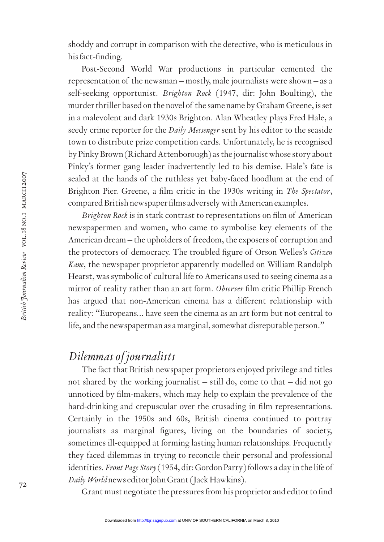shoddy and corrupt in comparison with the detective, who is meticulous in his fact-finding.

Post-Second World War productions in particular cemented the representation of the newsman – mostly, male journalists were shown – as a self-seeking opportunist. *Brighton Rock* (1947, dir: John Boulting), the murder thriller based on the novel of the same name by Graham Greene, is set in a malevolent and dark 1930s Brighton. Alan Wheatley plays Fred Hale, a seedy crime reporter for the *Daily Messenger* sent by his editor to the seaside town to distribute prize competition cards. Unfortunately, he is recognised byPinky Brown (Richard Attenborough) as the journalist whose story about Pinky's former gang leader inadvertently led to his demise. Hale's fate is sealed at the hands of the ruthless yet baby-faced hoodlum at the end of Brighton Pier. Greene, a film critic in the 1930s writing in *The Spectator*, compared British newspaper films adversely with American examples.

*Brighton Rock*is in stark contrast to representations on film of American newspapermen and women, who came to symbolise key elements of the American dream – the upholders of freedom, the exposers of corruption and the protectors of democracy. The troubled figure of Orson Welles's *Citizen Kane*, the newspaper proprietor apparently modelled on William Randolph Hearst, was symbolic of cultural life to Americans used to seeing cinema as a mirror of reality rather than an art form. *Observer* film critic Phillip French has argued that non-American cinema has a different relationship with reality: "Europeans... have seen the cinema as an art form but not central to life, and the newspaperman as a marginal, somewhat disreputable person."

#### *Dilemmas of journalists*

The fact that British newspaper proprietors enjoyed privilege and titles not shared by the working journalist – still do, come to that – did not go unnoticed by film-makers, which may help to explain the prevalence of the hard-drinking and crepuscular over the crusading in film representations. Certainly in the 1950s and 60s, British cinema continued to portray journalists as marginal figures, living on the boundaries of society, sometimes ill-equipped at forming lasting human relationships. Frequently they faced dilemmas in trying to reconcile their personal and professional identities. *Front Page Story*(1954, dir: Gordon Parry) follows a day in the life of *Daily World*news editor John Grant (Jack Hawkins).

Grant must negotiate the pressures from his proprietor and editor to find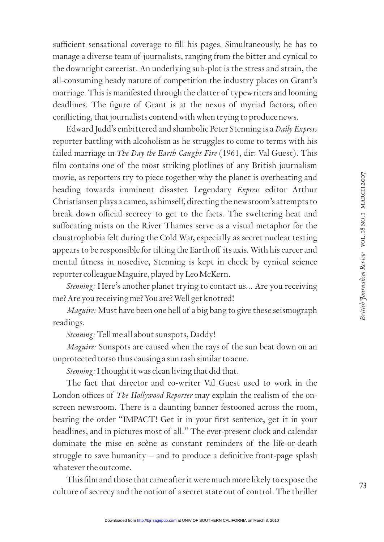sufficient sensational coverage to fill his pages. Simultaneously, he has to manage a diverse team of journalists, ranging from the bitter and cynical to the downright careerist. An underlying sub-plot is the stress and strain, the all-consuming heady nature of competition the industry places on Grant's marriage. This is manifested through the clatter of typewriters and looming deadlines. The figure of Grant is at the nexus of myriad factors, often conflicting, that journalists contend with when trying to produce news.

Edward Judd's embittered and shambolic Peter Stenning is a *Daily Express* reporter battling with alcoholism as he struggles to come to terms with his failed marriage in *The Day the Earth Caught Fire* (1961, dir: Val Guest). This film contains one of the most striking plotlines of any British journalism movie, as reporters try to piece together why the planet is overheating and heading towards imminent disaster. Legendary *Express* editor Arthur Christiansen plays a cameo, as himself, directing the newsroom's attempts to break down official secrecy to get to the facts. The sweltering heat and suffocating mists on the River Thames serve as a visual metaphor for the claustrophobia felt during the Cold War, especially as secret nuclear testing appears to be responsible for tilting the Earth off its axis. With his career and mental fitness in nosedive, Stenning is kept in check by cynical science reporter colleague Maguire, played by Leo McKern.

*Stenning:* Here's another planet trying to contact us... Are you receiving me? Are you receiving me? You are? Well get knotted!

*Maguire:* Must have been one hell of a big bang to give these seismograph readings.

*Stenning:*Tell me all about sunspots, Daddy!

*Maguire:* Sunspots are caused when the rays of the sun beat down on an unprotected torso thus causing a sun rash similar to acne.

*Stenning:*I thought it was clean living that did that.

The fact that director and co-writer Val Guest used to work in the London offices of *The Hollywood Reporter* may explain the realism of the onscreen newsroom. There is a daunting banner festooned across the room, bearing the order "IMPACT! Get it in your first sentence, get it in your headlines, and in pictures most of all." The ever-present clock and calendar dominate the mise en scène as constant reminders of the life-or-death struggle to save humanity – and to produce a definitive front-page splash whatever the outcome.

This film and those that came after it were much more likely to expose the culture of secrecy and the notion of a secret state out of control. The thriller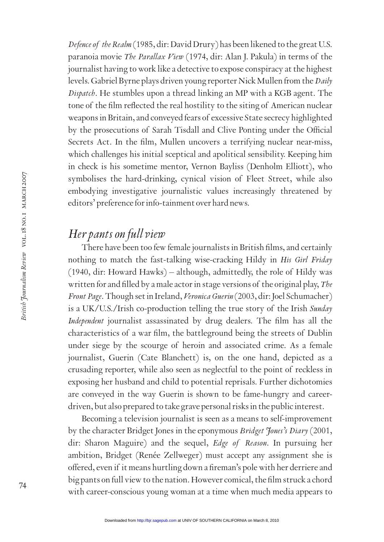*Defence of the Realm*(1985, dir: David Drury) has been likened to the great U.S. paranoia movie *The Parallax View* (1974, dir: Alan J. Pakula) in terms of the journalist having to work like a detective to expose conspiracy at the highest levels. Gabriel Byrne plays driven young reporter Nick Mullen from the *Daily Dispatch*. He stumbles upon a thread linking an MP with a KGB agent. The tone of the film reflected the real hostility to the siting of American nuclear weapons in Britain, and conveyed fears of excessive State secrecy highlighted by the prosecutions of Sarah Tisdall and Clive Ponting under the Official Secrets Act. In the film, Mullen uncovers a terrifying nuclear near-miss, which challenges his initial sceptical and apolitical sensibility. Keeping him in check is his sometime mentor, Vernon Bayliss (Denholm Elliott), who symbolises the hard-drinking, cynical vision of Fleet Street, while also embodying investigative journalistic values increasingly threatened by editors' preference for info-tainment over hard news.

### *Her pants on full view*

There have been too few female journalists in British films, and certainly nothing to match the fast-talking wise-cracking Hildy in *His Girl Friday* (1940, dir: Howard Hawks) – although, admittedly, the role of Hildy was written for and filled by a male actor in stage versions of the original play, *The Front Page*. Though set in Ireland, *Veronica Guerin*(2003, dir: Joel Schumacher) is a UK/U.S./Irish co-production telling the true story of the Irish *Sunday Independent* journalist assassinated by drug dealers. The film has all the characteristics of a war film, the battleground being the streets of Dublin under siege by the scourge of heroin and associated crime. As a female journalist, Guerin (Cate Blanchett) is, on the one hand, depicted as a crusading reporter, while also seen as neglectful to the point of reckless in exposing her husband and child to potential reprisals. Further dichotomies are conveyed in the way Guerin is shown to be fame-hungry and careerdriven, but also prepared to take grave personal risks in the public interest.

Becoming a television journalist is seen as a means to self-improvement by the character Bridget Jones in the eponymous *Bridget Jones's Diary*(2001, dir: Sharon Maguire) and the sequel, *Edge of Reason*. In pursuing her ambition, Bridget (Renée Zellweger) must accept any assignment she is offered, even if it means hurtling down a fireman's pole with her derriere and big pants on full view to the nation. However comical, the film struck a chord with career-conscious young woman at a time when much media appears to